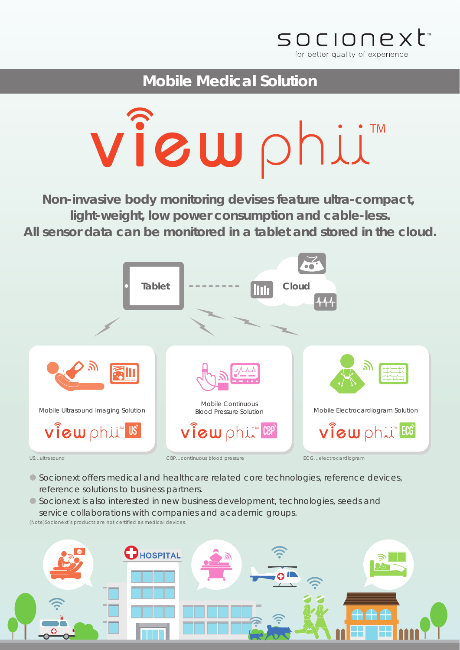

**Mobile Medical Solution**



**Non-invasive body monitoring devises feature ultra-compact, light-weight, low power consumption and cable-less. All sensor data can be monitored in a tablet and stored in the cloud.**



**●** Socionext offers medical and healthcare related core technologies, reference devices, reference solutions to business partners.

**●** Socionext is also interested in new business development, technologies, seeds and service collaborations with companies and academic groups.

(Note)Socionext's products are not certified as medical devices.